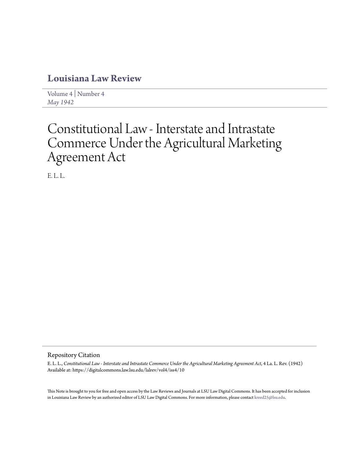## **[Louisiana Law Review](https://digitalcommons.law.lsu.edu/lalrev)**

[Volume 4](https://digitalcommons.law.lsu.edu/lalrev/vol4) | [Number 4](https://digitalcommons.law.lsu.edu/lalrev/vol4/iss4) *[May 1942](https://digitalcommons.law.lsu.edu/lalrev/vol4/iss4)*

## Constitutional Law - Interstate and Intrastate Commerce Under the Agricultural Marketing Agreement Act

E. L. L.

## Repository Citation

E. L. L., *Constitutional Law - Interstate and Intrastate Commerce Under the Agricultural Marketing Agreement Act*, 4 La. L. Rev. (1942) Available at: https://digitalcommons.law.lsu.edu/lalrev/vol4/iss4/10

This Note is brought to you for free and open access by the Law Reviews and Journals at LSU Law Digital Commons. It has been accepted for inclusion in Louisiana Law Review by an authorized editor of LSU Law Digital Commons. For more information, please contact [kreed25@lsu.edu](mailto:kreed25@lsu.edu).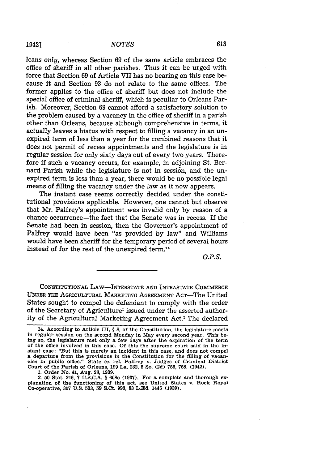leans *only,* whereas Section 69 of the same article embraces the office of sheriff in all other parishes. Thus it can be urged with force that Section 69 of Article VII has no bearing on this case because it and Section 93 do not relate to the same offices. The former applies to the office of sheriff but does not include the special office of criminal sheriff, which is peculiar to Orleans Parish. Moreover, Section 69 cannot afford a satisfactory solution to the problem caused by a vacancy in the office of sheriff in a parish other than Orleans, because although comprehensive in terms, it actually leaves a hiatus with respect to filling a vacancy in an unexpired term of less than a year for the combined reasons that it does not permit of recess appointments and the legislature is in regular session for only sixty days out of every two years. Therefore if such a vacancy occurs, for example, in adjoining St. Bernard Parish while the legislature is not in session, and the unexpired term is less than a year, there would be no possible legal means of filling the vacancy under the law as it now appears.

The instant case seems correctly decided under the constitutional provisions applicable. However, one cannot but observe that Mr. Palfrey's appointment was invalid only by reason of a chance occurrence-the fact that the Senate was in recess. **If** the Senate had been in session, then the Governor's appointment of Palfrey would have been "as provided by law" and Williams would have been sheriff for the temporary period of several hours instead of for the rest of the unexpired term.14

*O.P.S.*

**CONSTITUTIONAL LAW-INTERSTATE AND INTRASTATE COMMERCE UNDER** THE AGRICULTURAL MARKETING **AGREEMENT** AcT-The United States sought to compel the defendant to comply with the order of the Secretary of Agriculture' issued under the asserted authority of the Agricultural Marketing Agreement Act.<sup>2</sup> The declared

**1.** Order No. 41, Aug. 28, **1939.** planation of the functioning of this act, see United States v. Rock Royal Co-operative, **307 U.S. 533, 59 S.Ct. 993, 83 L.Ed. 1446 (1939).**

<sup>14.</sup> According to Article III, **§ 8,** of the Constitution, the legislature meets in regular session on the second Monday in May every second year. This being so, the legislature met only a few days after the expiration of the term of the office involved in this case. **Of** this the supreme court said in the Instant case: **"But this** is merely an incident in this case, and does not compel a departure from the provisions in the Constitution for the filling of vacancies In public office." State ex rel. Palfrey v. Judges of Criminal District Court of the Parish of Orleans, **199 La. 232, 5** So. **(2d) 756, 758,** (1942).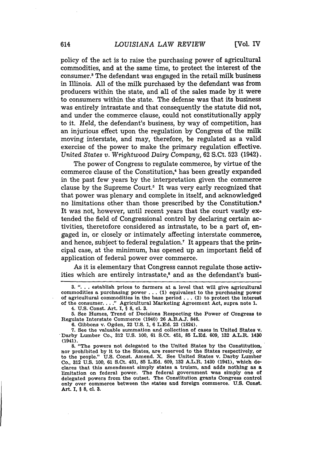policy of the act is to raise the purchasing power of agricultural commodities, and at the same time, to protect the interest of the consumer.3 The defendant was engaged in the retail milk business in Illinois. All of the milk purchased by the defendant was from producers within the state, and all of the sales made by it were to consumers within the state. The defense was that its business was entirely intrastate and that consequently the statute did not, and under the commerce clause, could not constitutionally apply to it. Held, the defendant's business, by way of competition, has an injurious effect upon the regulation by Congress of the milk moving interstate, and may, therefore, be regulated as a valid exercise of the power to make the primary regulation effective. *United States v. Wrightwood Dairy Company,* 62 S.Ct. 523 (1942).

The power of Congress to regulate commerce, by virtue of the commerce clause of the Constitution,<sup>4</sup> has been greatly expanded in the past few years by the interpretation given the commerce clause by the Supreme Court.<sup>5</sup> It was very early recognized that that power was plenary and complete in itself, and acknowledged no limitations other than those prescribed by the Constitution. It was not, however, until recent years that the court vastly extended the field of Congressional control by declaring certain activities, theretofore considered as intrastate, to be a part of, engaged in, or closely or intimately affecting interstate commerce, and hence, subject to federal regulation.' It appears that the principal case, at the minimum, has opened up an important field of application of federal power over commerce.

As it is elementary that Congress cannot regulate those activities which are entirely intrastate,<sup>8</sup> and as the defendant's busi-

**3. ". . .** establish prices to farmers at a level that will give agricultural commodities a purchasing power **... (1)** equivalent to the purchasing power of agricultural commodities in the base period **...** (2) to protect the interest of the consumer **.. "** Agricultural Marketing Agreement Act, supra note **1.**

**5.** See Humes, Trend of Decisions Respecting the Power of Congress to Regulate Interstate Commerce (1940) **26 A.B.A.J.** 846.

**6.** Gibbons v. Ogden, 22 **U.S. 1, 6 L.Ed. 23** (1824).

**8.** "The powers not delegated to the United States **by** the Constitution, nor prohibited **by** it to the States, are reserved to the States respectively, or to the people." **U.S.** Const. Amend. X. See United States v. Darby Lumber Co., **312 U.S. 100, 61** S.Ct. 451, **85 L.Ed. 609,** 132 A.L.R. 1430 (1941), which declares that this amendment simply states a truism, and adds nothing as a limitation on federal power. The federal government was simply one of delegated powers from the outset. The Constitution grants Congress control only over commerce between thp states and foreign commerce. **U.S.** Const. Art. I, § **8, cl. 3.**

<sup>4.</sup> **U.S.** Const. Art. I, § **8, cl. 3.**

**<sup>7.</sup>** See the valuable summation and collection of cases in United States v. Darby Lumber Co., 312 **U.S. 100, 61** S.Ct. 451, **85 L.Ed. 609, 132** A.L.R. 1430 (1941).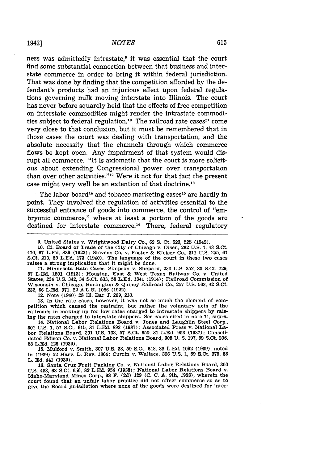ness was admittedly intrastate,<sup>9</sup> it was essential that the court find some substantial connection between that business and interstate commerce in order to bring it within federal jurisdiction. That was done by finding that the competition afforded by the defendant's products had an injurious effect upon federal regulations governing milk moving interstate into Illinois. The court has never before squarely held that the effects of free competition on interstate commodities might render the intrastate commodities subject to federal regulation.<sup>10</sup> The railroad rate cases<sup>11</sup> come very close to that conclusion, but it must be remembered that in those cases the court was dealing with transportation, and the absolute necessity that the channels through which commerce flows be kept open. Any impairment of that system would disrupt all commerce. "It is axiomatic that the court is more solicitous about extending Congressional power over transportation than over other activities."<sup>12</sup> Were it not for that fact the present case might very well be an extention of that doctrine.<sup>18</sup>

The labor board<sup>14</sup> and tobacco marketing cases<sup>15</sup> are hardly in point. They involved the regulation of activities essential to the successful entrance of goods into commerce, the control of "embryonic commerce," where at least a portion of the goods are destined for interstate commerce.<sup>16</sup> There, federal regulatory

10. Cf. Board of Trade of the City of Chicago v. Olsen, 262 U.S. 1, 43 S.Ct. 470, 67 LEd. 839 (1922); Stevens Co. v. Foster & Kleiser Co., 311 U.S. 255, 61 S.Ct. 210, 85 L.Ed. 173 (1940). The language of the court in these two cases raises a strong implication that it might be done.

11. Minnesota Rate Cases, Simpson v. Shepard, 230 U.S. 352, 33 S.Ct. 729, 57 L.Ed. 1501 (1913); Houston, East & West Texas Railway Co. v. United States, 234 U.S. 342, 34 S.Ct. 833, 58 L.Ed. 1341 (1914); Railroad Commission of Wisconsin v. Chicago, Burlington & Quincy Railroad Co., 257 U.S. 563, 42 S.Ct. 232, 66 L.Ed. 371, 22 A.L.R. 1086 (1922).

12. Note (1940) 28 **I1.** Bar **J.** 209, 210.

13. In the rate cases, however, it was not so much the element of competition which caused the restraint, but rather the voluntary acts of the railroads in making up for low rates charged to intrastate shippers by raising the rates charged to interstate shippers. See cases cited in note **11,** supra.

14. National Labor Relations Board v. Jones and Laughlin Steel Corp., **301 U.S. 1, 57** S.Ct. **615, 81 L.Ed. 893 (1937);** Associated Press v. National Labor Relations Board, **301 U.S. 103, 57** S.Ct. **650, 81 L.Ed. 953 (1937);** Consolidated Edison Co. v. National Labor Relations Board, **305 U. S. 197, 59** S.Ct. **206, 83 L.Ed. 126 (1939).**

**15.** Mulford v. Smith, **307 U.S. 38, 59** S.Ct. 648, **83 L.Ed. 1092 (1939),** noted In **(1939)** 52 Harv. L. Rev. 1364; Currin v. Wallace, **306 U.S. 1, 59** S.Ct. **379, 83** L. **Ed.** 441 **(1939).**

**16.** Santa Cruz Fruit Packing Co. v. National Labor Relations Board, **303 U.S.** 453, **68** S.Ct. **656, 82 L.Ed.** 954 **(1938);** National Labor Relations Board v. Idaho-Maryland Mines Corp., **98 F. (2d) 129 (C. C. A.** 9th, **1938),** wherein the court found that an unfair labor practice did not affect commerce so as to give the Board jurisdiction where none of the goods were destined for Inter-

<sup>9.</sup> United States v. Wrightwood Dairy Co., 62 **S.** Ct. 523, 525 (1942).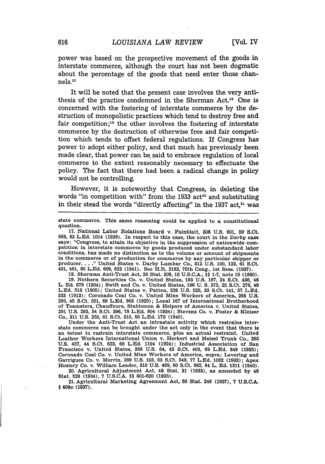power was based on the prospective movement of the goods in interstate commerce, although the court has not been dogmatic about the percentage of the goods that need enter those channels."7

It will be noted that the present case involves the very antithesis of the practice condemned in the Sherman Act."8 One is concerned with the fostering of interstate commerce by the destruction of monopolistic practices which tend to destroy free and fair competition;<sup>19</sup> the other involves the fostering of interstate commerce by the destruction of otherwise free and fair competition which tends to offset federal regulations. If Congress has power to adopt either policy, and that much has previously been made clear, that power can be said to embrace regulation of local commerce to the extent reasonably necessary to effectuate the policy. The fact that there had been a radical change in policy would not be controlling.

However, it is noteworthy that Congress, in deleting the words "in competition with" from the 1933 act<sup>20</sup> and substituting in their stead the words "directly affecting" in the 1937 act, $21$  was

state commerce. This same reasoning could be applied to a constitutional question..

**17.** National Labor Relations Board v. Fainblatt, **306 U.S. 601, 59** S.Ct. **668,** 83 **L.Ed.** 1014 **(1939).** In respect to this case, the court in the *Darby* case says: "Congress, to attain its objective in the suppression of nationwide com- petition in interstate commerce **by** goods produced under substandard labor conditions, has made no distinction as to the volume or amount of shipments in the commerce or of production for commerce **by** any particular shipper or producer **....** United States v. Darby Lumber Co., **312 U.S. 100, 123, 61** S.Ct. 451, 461, **85 L.Ed. 609, 622** (1941). See H.R. **2182,** 75th Cong., 1st Sess. **(1937).**

**18.** Sherman Anti-Trust Act, **26** Stat. **209, 15 U.S.C.A.,** §§ 1-7, note **15 (1890).**

**19.** Nothern Securities Co. v. United States, **193 U.S. 197,** 24 S.Ct. 436, 48 L. **Ed. 679** (1904); Swift and Co. v. United States, 196 **U. S. 375, 25** S.Ct. 276, 49 **L.Ed. 518 (1905);** United States v. Patten, **226 U.S. 525, 33** S.Ct. 141, **57 L.Ed. 333 (1913);** Coronado Coal Co. v. United Mine Workers of America, **268 U.S. 295,** 45 S.Ct. **551, 69 L.Ed. 963 (1925);** Local **167** of International Brotherhood of Teamsters, Chauffeurs, Stablemen & Helpers of America v. United States, **291 U.S.** 293, 54 S.Ct. **396,** 78 **L.Ed.** 804 (1934); Stevens Co. v. Foster **&** Klelser Co., **311 U.S. 255, 61** S.Ct. 210, **85 L.Ed. 173** (1940).

Under the Anti-Trust Act an intrastate activity which restrains inter-<br>state commerce can be brought under the act only in the event that there is an *intent* to restrain interstate commerce, plus an actual restraint. United Leather Workers International Union v. Herkert and Meisel Trunk Co., **265 U.S.** 457, 44 S.Ct. **623, 68 L.Ed.** 1104 (1924); Industrial Association of San Francisco v. United States, **268 U.S.** 64, 45 S.Ct. 403, **69 L.Ed.** 849 **(1925);** Coronado Coal Co. v. United Mine Workers of America, supra; Levering and Garrigues Co. v. Morrin, **289 U.S. 103, 53** S.Ct. 549, 77 **L.Ed. 1062 (1933);** Apex Hosiery Co. v. William Leader, **310 U.S.** 469, **60** S.Ct. **982,** 84 L. **Ed. 1311** (1940).

20. Agricultural Adjustment Act, 48 Stat. **31 (1933),** as amended **by** 48 Stat. **528** (1934), 7 **U.S.C.A.** §§ **601-620 (1935).**

21. Agricultural Marketing Agreement Act, 50 Stat. 246 (1937), 7 **U.S.C.A. § 608c (1937).**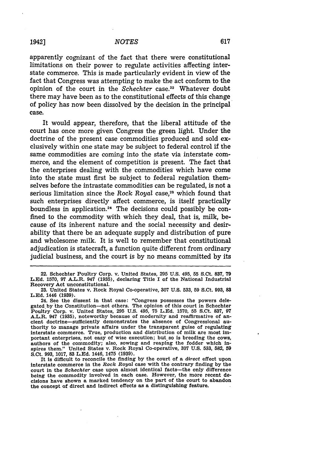apparently cognizant of the fact that there were constitutional limitations on their power to regulate activities affecting interstate commerce. This is made particularly evident in view of the fact that Congress was attempting to make the act conform to the opinion of the court in the *Schechter* case.<sup>22</sup> Whatever doubt there may have been as to the constitutional effects of this change of policy has now been dissolved by the decision in the principal case.

It would appear, therefore, that the liberal attitude of the court has once more given Congress the green light. Under the doctrine of the present case commodities produced and sold exclusively within one state may be subject to federal control if the same commodities are coming into the state via interstate commerce, and the element of competition is present. The fact that the enterprises dealing with the commodities which have come into the state must first be subject to federal regulation themselves before the intrastate commodities can be regulated, is not a serious limitation since the Rock Royal case,<sup>28</sup> which found that such enterprises directly affect commerce, is itself practically boundless in application.<sup>24</sup> The decisions could possibly be confined to the commodity with which they deal, that is, milk, because of its inherent nature and the social necessity and desirability that there be an adequate supply and distribution of pure and wholesome milk. It is well to remember that constitutional adjudication is statecraft, a function quite different from ordinary judicial business, and the court is by no means committed by its

It Is difficult to reconcile the finding **by** the court of a *direct* effect upon interstate commerce in the Rock *Royal* case with the contrary finding **by** the court in the *Schechter* case upon almost identical facts-the only difference being the commodity involved in each case. However, the more recent decisions have shown a marked tendency on the part of the court to abandon the concept of direct and Indirect effects as a distinguishing feature.

<sup>22.</sup> Schechter Poultry Corp. v. United States, **295 U.S.** 495, **55** S.Ct. 837, **79 L.Ed. 1570, 97** A.L.R. 947 **(1935),** declaring Title **I** of the National Industrial Recovery Act unconstitutional.

**<sup>23.</sup>** United States v. Rock Royal Co-operative, **307 U.S. 533, 59** S.Ct. **993, 83 L.Ed.** 1446 **(1939).**

<sup>24.</sup> See the dissent in that case: "Congress possesses the powers delegated by the Constitution-not others. The opinion of this court in Schechter Poultry Corp. v. United States, **295 U.S.** 495, **75 L.Ed. 1570, 55** S.Ct. **837, 97** A.L.R. 947 **(1935),** noteworthy because of modernity and reaflirmative of anthority to manage private affairs under the transparent guise of regulating interstate commerce. True, production and distribution of milk are most important enterprises, not easy of wise execution; but so is breeding the cows, authors of the commodity; also, sowing and reaping the fodder which Inspires them." United States v. Rock Royal Co-operative, **307 U.S.** 533, **582, 59** S.Ct. **993, 1017, 83 L.Ed.** 1446, 1475 **(1939).**